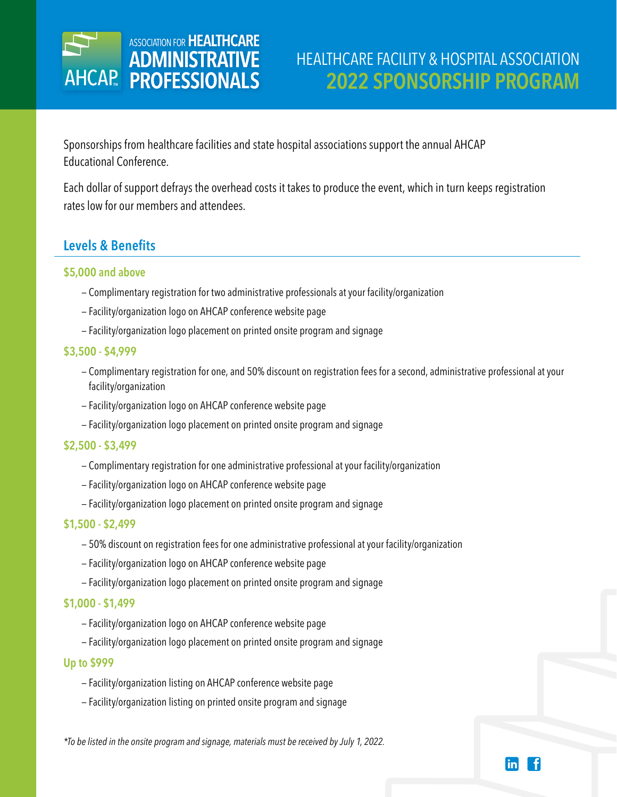

Sponsorships from healthcare facilities and state hospital associations support the annual AHCAP Educational Conference.

Each dollar of support defrays the overhead costs it takes to produce the event, which in turn keeps registration rates low for our members and attendees.

## **Levels & Benefits**

### **\$5,000 and above**

- Complimentary registration for two administrative professionals at your facility/organization
- Facility/organization logo on AHCAP conference website page
- Facility/organization logo placement on printed onsite program and signage

#### **\$3,500 - \$4,999**

- Complimentary registration for one, and 50% discount on registration fees for a second, administrative professional at your facility/organization
- Facility/organization logo on AHCAP conference website page
- Facility/organization logo placement on printed onsite program and signage

#### **\$2,500 - \$3,499**

- Complimentary registration for one administrative professional at your facility/organization
- Facility/organization logo on AHCAP conference website page
- Facility/organization logo placement on printed onsite program and signage

#### **\$1,500 - \$2,499**

- 50% discount on registration fees for one administrative professional at your facility/organization
- Facility/organization logo on AHCAP conference website page
- Facility/organization logo placement on printed onsite program and signage

#### **\$1,000 - \$1,499**

- Facility/organization logo on AHCAP conference website page
- Facility/organization logo placement on printed onsite program and signage

#### **Up to \$999**

- Facility/organization listing on AHCAP conference website page
- Facility/organization listing on printed onsite program and signage

*\*To be listed in the onsite program and signage, materials must be received by July 1, 2022.*